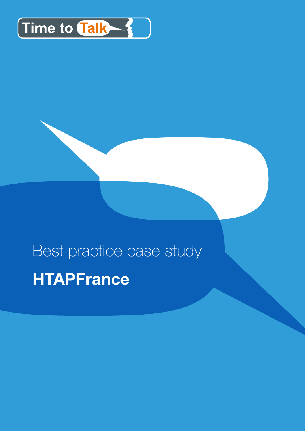

# Best practice case study **HTAPFrance**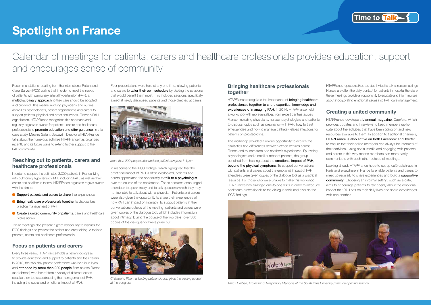## **Spotlight on France**



*Christophe Pison, a leading pulmonologist, gives the closing speech at the congress*

In response to the IPCS findings, which highlighted that the emotional impact of PAH is often overlooked, patients and carers appreciated the opportunity to talk to a psychologist over the course of the conference. These sessions encouraged attendees to speak freely and to ask questions which they may not feel able to talk about with a physician. Patients and carers were also given the opportunity to share their experiences of how PAH can impact on intimacy. To support patients in their conversations outside of the meeting, patients and carers were given copies of the dialogue tool, which includes information about intimacy. During the course of the two days, over 300 copies of the dialogue tool were given out.

HTAPFrance recognizes the importance of **bringing healthcare** professionals together to share expertise, knowledge and experiences of managing PAH. In 2014, HTAPFrance held a workshop with representatives from expert centres across France, including physicians, nurses, psychologists and patients to discuss topics such as pregnancy with PAH, how to treat emergencies and how to manage catheter-related infections for patients on prostacyclins.

#### **Bringing healthcare professionals together**

HTAPFrance develops a **biannual magazine**, CapVers, which provides updates and interviews to keep members up-todate about the activities that have been going on and new resources available to them. In addition to traditional channels, HTAPFrance is also active on both Facebook and Twitter to ensure that their online members can always be informed of their activities. Using social media and engaging with patients and carers in this way means members can more easily communicate with each other outside of meetings.

The workshop provided a unique opportunity to explore the similarities and differences between expert centres across France and to learn from one another's experiences. By inviting psychologists and a small number of patients, the group benefited from hearing about the emotional impact of PAH, beyond the physical symptoms. To support conversations with patients and carers about the emotional impact of PAH, attendees were given copies of the dialogue tool as a practical resource. For those who were unable to make this workshop, HTAPFrance has arranged one-to-one visits in order to introduce healthcare professionals to the dialogue tools and discuss the IPCS findings.

## Calendar of meetings for patients, carers and healthcare professionals provides education, support and encourages sense of community

In order to support the estimated 3,000 patients in France living with pulmonary hypertension (PH), including PAH, as well as their carers and healthcare teams, HTAPFance organizes regular events with the aim to:

HTAPFrance representatives are also invited to talk at nurse meetings. Nurses are often the daily contact for patients in hospital therefore these meetings provide an opportunity to educate and inform nurses about incorporating emotional issues into PAH care management.

- Support patients and carers to share their experiences
- **Bring healthcare professionals together** to discuss best practice management of PAH
- Create a united community of patients, carers and healthcare professionals

#### **Creating a united community**

Looking ahead, HTAPFrance hope to set up café catch-ups in Paris and elsewhere in France to enable patients and carers to meet up regularly to share experiences and build a supportive community. Choosing an informal setting, such as a café, aims to encourage patients to talk openly about the emotional impact that PAH has on their daily lives and share experiences with one another.

Recommendations resulting from the International Patient and Carer Survey (IPCS) outline that in order to meet the needs of patients with pulmonary arterial hypertension (PAH), a multidisciplinary approach to their care should be adopted and provided. This means involving physicians and nurses, as well as psychologists, patient organizations and carers to support patients' physical and emotional needs. France's PAH organization, HTAPFrance recognises this approach and regularly organizes events for patients, carers and healthcare professionals to **promote education and offer quidance**. In this case study, Mélanie Gallant-Dewavrin, Director of HTAPFrance talks about the numerous activities HTAPFrance has organized recently and its future plans to extend further support to the PAH community.

#### **Reaching out to patients, carers and healthcare professionals**

These meetings also present a great opportunity to discuss the IPCS findings and present the patient and carer dialogue tools to patients, carers and healthcare professionals.

#### **Focus on patients and carers**

Every three years, HTAPFrance holds a patient congress to provide education and support to patients and their carers. In 2013, the two-day patient conference was held in in Lyon and **attended by more than 200 people** from across France (and abroad) who heard from a variety of different expert speakers on topics addressing the management of PAH, including the social and emotional impact of PAH.

Four presentations were held at any one time, allowing patients and carers to **tailor their own schedule** by picking the sessions that would benefit them most. This included sessions specifically aimed at newly diagnosed patients and those directed at carers.



*More than 200 people attended the patient congress in Lyon*



*Marc Humbert, Professor of Respiratory Medicine at the South Paris University gives the opening session*